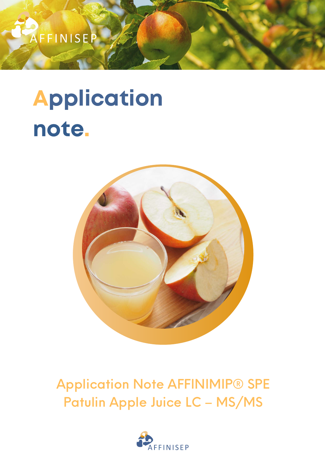## Application Note AFFINIMIP® SPE Patulin Apple Juice LC – MS/MS





# Application note.

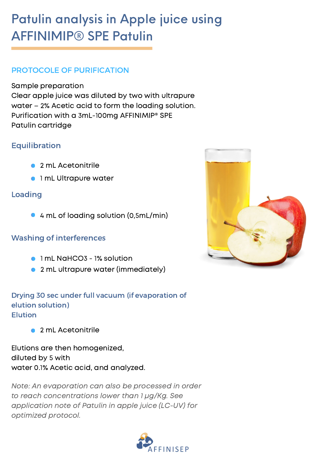Sample preparation Clear apple juice was diluted by two with ultrapure water – 2% Acetic acid to form the loading solution. Purification with a 3mL-100mg AFFINIMIP® SPE Patulin cartridge

### Patulin analysis in Apple juice using AFFINIMIP® SPE Patulin

- 1 mL NaHCO3 1% solution
- 2 mL ultrapure water (immediately)  $\bullet$

Note: An evaporation can also be processed in order to reach concentrations lower than 1 μg/Kg. See application note of Patulin in apple juice (LC-UV) for optimized protocol.





#### PROTOCOLE OF PURIFICATION

Elutions are then homogenized, diluted by 5 with water 0.1% Acetic acid, and analyzed.

4 mL of loading solution (0,5mL/min)

#### Washing of interferences



- 2 mL Acetonitrile  $\bullet$
- 1 mL Ultrapure water

2 mL Acetonitrile

#### Equilibration

Loading